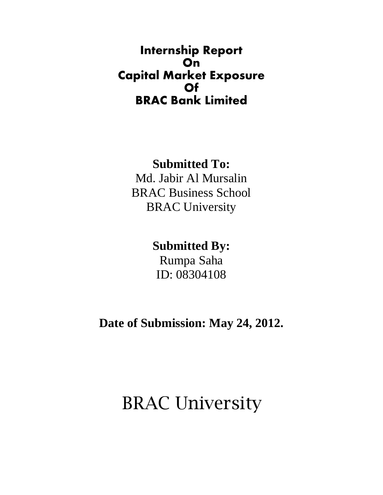### **Internship Report On Capital Market Exposure Of BRAC Bank Limited**

### **Submitted To:**

Md. Jabir Al Mursalin BRAC Business School BRAC University

### **Submitted By:**

Rumpa Saha ID: 08304108

**Date of Submission: May 24, 2012.** 

## BRAC University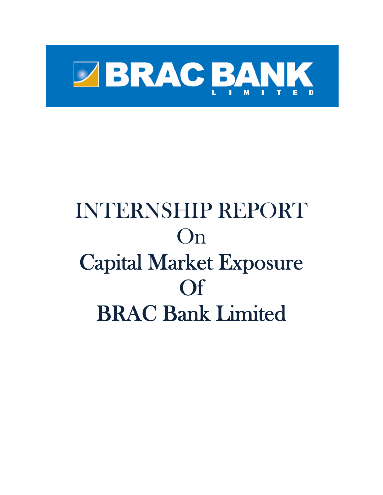

# INTERNSHIP REPORT On Capital Market Exposure Of BRAC Bank Limited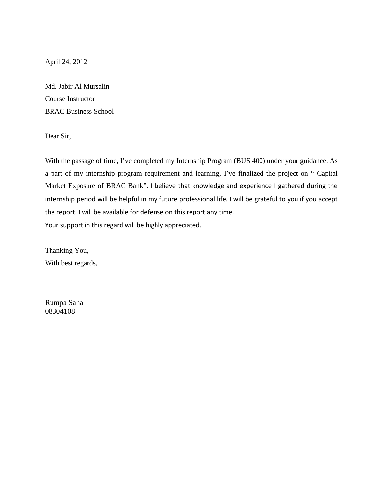April 24, 2012

Md. Jabir Al Mursalin Course Instructor BRAC Business School

Dear Sir,

With the passage of time, I've completed my Internship Program (BUS 400) under your guidance. As a part of my internship program requirement and learning, I've finalized the project on " Capital Market Exposure of BRAC Bank". I believe that knowledge and experience I gathered during the internship period will be helpful in my future professional life. I will be grateful to you if you accept the report. I will be available for defense on this report any time. Your support in this regard will be highly appreciated.

Thanking You, With best regards,

Rumpa Saha 08304108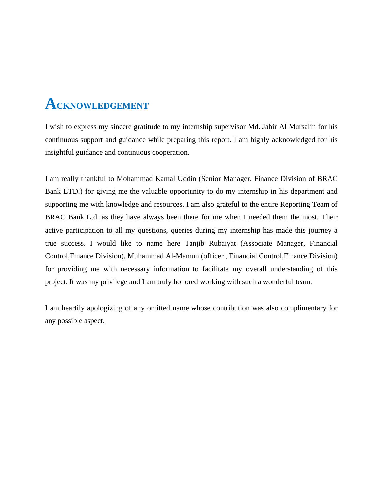## **ACKNOWLEDGEMENT**

I wish to express my sincere gratitude to my internship supervisor Md. Jabir Al Mursalin for his continuous support and guidance while preparing this report. I am highly acknowledged for his insightful guidance and continuous cooperation.

I am really thankful to Mohammad Kamal Uddin (Senior Manager, Finance Division of BRAC Bank LTD.) for giving me the valuable opportunity to do my internship in his department and supporting me with knowledge and resources. I am also grateful to the entire Reporting Team of BRAC Bank Ltd. as they have always been there for me when I needed them the most. Their active participation to all my questions, queries during my internship has made this journey a true success. I would like to name here Tanjib Rubaiyat (Associate Manager, Financial Control,Finance Division), Muhammad Al-Mamun (officer , Financial Control,Finance Division) for providing me with necessary information to facilitate my overall understanding of this project. It was my privilege and I am truly honored working with such a wonderful team.

I am heartily apologizing of any omitted name whose contribution was also complimentary for any possible aspect.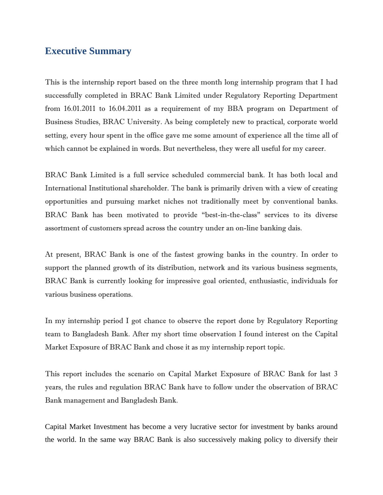### **Executive Summary**

This is the internship report based on the three month long internship program that I had successfully completed in BRAC Bank Limited under Regulatory Reporting Department from 16.01.2011 to 16.04.2011 as a requirement of my BBA program on Department of Business Studies, BRAC University. As being completely new to practical, corporate world setting, every hour spent in the office gave me some amount of experience all the time all of which cannot be explained in words. But nevertheless, they were all useful for my career.

BRAC Bank Limited is a full service scheduled commercial bank. It has both local and International Institutional shareholder. The bank is primarily driven with a view of creating opportunities and pursuing market niches not traditionally meet by conventional banks. BRAC Bank has been motivated to provide "best-in-the-class" services to its diverse assortment of customers spread across the country under an on-line banking dais.

At present, BRAC Bank is one of the fastest growing banks in the country. In order to support the planned growth of its distribution, network and its various business segments, BRAC Bank is currently looking for impressive goal oriented, enthusiastic, individuals for various business operations.

In my internship period I got chance to observe the report done by Regulatory Reporting team to Bangladesh Bank. After my short time observation I found interest on the Capital Market Exposure of BRAC Bank and chose it as my internship report topic.

This report includes the scenario on Capital Market Exposure of BRAC Bank for last 3 years, the rules and regulation BRAC Bank have to follow under the observation of BRAC Bank management and Bangladesh Bank.

Capital Market Investment has become a very lucrative sector for investment by banks around the world. In the same way BRAC Bank is also successively making policy to diversify their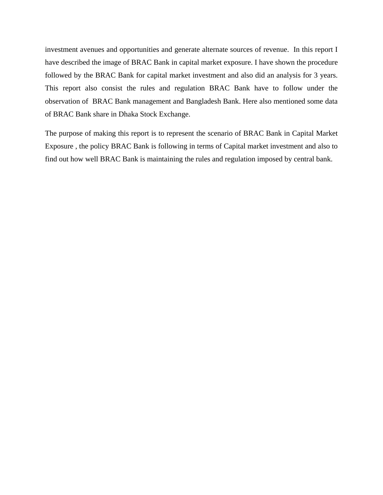investment avenues and opportunities and generate alternate sources of revenue. In this report I have described the image of BRAC Bank in capital market exposure. I have shown the procedure followed by the BRAC Bank for capital market investment and also did an analysis for 3 years. This report also consist the rules and regulation BRAC Bank have to follow under the observation of BRAC Bank management and Bangladesh Bank. Here also mentioned some data of BRAC Bank share in Dhaka Stock Exchange.

The purpose of making this report is to represent the scenario of BRAC Bank in Capital Market Exposure , the policy BRAC Bank is following in terms of Capital market investment and also to find out how well BRAC Bank is maintaining the rules and regulation imposed by central bank.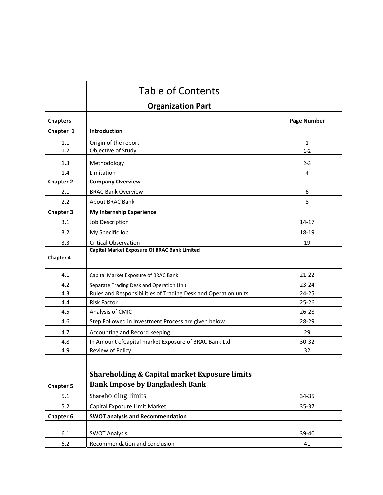|                  | <b>Table of Contents</b>                                                                          |                    |
|------------------|---------------------------------------------------------------------------------------------------|--------------------|
|                  | <b>Organization Part</b>                                                                          |                    |
| <b>Chapters</b>  |                                                                                                   | <b>Page Number</b> |
| Chapter 1        | <b>Introduction</b>                                                                               |                    |
| 1.1              | Origin of the report                                                                              | 1                  |
| 1.2              | Objective of Study                                                                                | $1 - 2$            |
| 1.3              | Methodology                                                                                       | $2 - 3$            |
| 1.4              | Limitation                                                                                        | 4                  |
| <b>Chapter 2</b> | <b>Company Overview</b>                                                                           |                    |
| 2.1              | <b>BRAC Bank Overview</b>                                                                         | 6                  |
| 2.2              | About BRAC Bank                                                                                   | 8                  |
| <b>Chapter 3</b> | <b>My Internship Experience</b>                                                                   |                    |
| 3.1              | Job Description                                                                                   | $14 - 17$          |
| 3.2              | My Specific Job                                                                                   | 18-19              |
| 3.3              | <b>Critical Observation</b>                                                                       | 19                 |
| <b>Chapter 4</b> | <b>Capital Market Exposure Of BRAC Bank Limited</b>                                               |                    |
| 4.1              | Capital Market Exposure of BRAC Bank                                                              | $21 - 22$          |
| 4.2              | Separate Trading Desk and Operation Unit                                                          | $23 - 24$          |
| 4.3              | Rules and Responsibilities of Trading Desk and Operation units                                    | $24 - 25$          |
| 4.4              | <b>Risk Factor</b>                                                                                | $25 - 26$          |
| 4.5              | Analysis of CMIC                                                                                  | $26 - 28$          |
| 4.6              | Step Followed in Investment Process are given below                                               | 28-29              |
| 4.7              | Accounting and Record keeping                                                                     | 29                 |
| 4.8              | In Amount of Capital market Exposure of BRAC Bank Ltd                                             | 30-32              |
| 4.9              | Review of Policy                                                                                  | 32                 |
| <b>Chapter 5</b> | <b>Shareholding &amp; Capital market Exposure limits</b><br><b>Bank Impose by Bangladesh Bank</b> |                    |
| 5.1              | Shareholding limits                                                                               | 34-35              |
| 5.2              | Capital Exposure Limit Market                                                                     | 35-37              |
| Chapter 6        | <b>SWOT analysis and Recommendation</b>                                                           |                    |
| 6.1              | <b>SWOT Analysis</b>                                                                              | 39-40              |
| 6.2              | Recommendation and conclusion                                                                     | 41                 |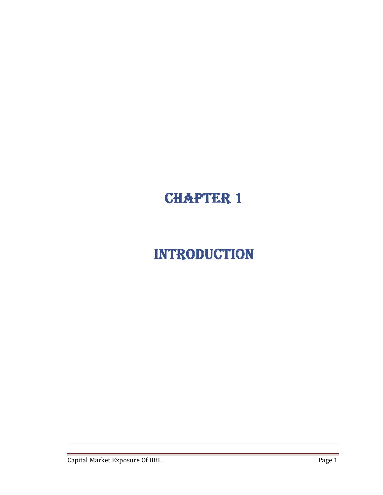## CHAPTER 1

## INTRODUCTION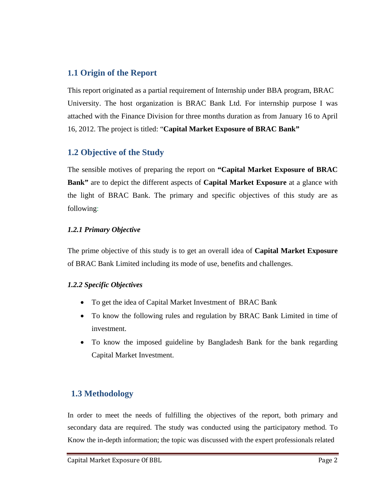### **1.1 Origin of the Report**

This report originated as a partial requirement of Internship under BBA program, BRAC University. The host organization is BRAC Bank Ltd. For internship purpose I was attached with the Finance Division for three months duration as from January 16 to April 16, 2012. The project is titled: "**Capital Market Exposure of BRAC Bank"**

### **1.2 Objective of the Study**

The sensible motives of preparing the report on **"Capital Market Exposure of BRAC Bank"** are to depict the different aspects of **Capital Market Exposure** at a glance with the light of BRAC Bank. The primary and specific objectives of this study are as following:

### *1.2.1 Primary Objective*

The prime objective of this study is to get an overall idea of **Capital Market Exposure** of BRAC Bank Limited including its mode of use, benefits and challenges.

### *1.2.2 Specific Objectives*

- To get the idea of Capital Market Investment of BRAC Bank
- To know the following rules and regulation by BRAC Bank Limited in time of investment.
- To know the imposed guideline by Bangladesh Bank for the bank regarding Capital Market Investment.

### **1.3 Methodology**

In order to meet the needs of fulfilling the objectives of the report, both primary and secondary data are required. The study was conducted using the participatory method. To Know the in-depth information; the topic was discussed with the expert professionals related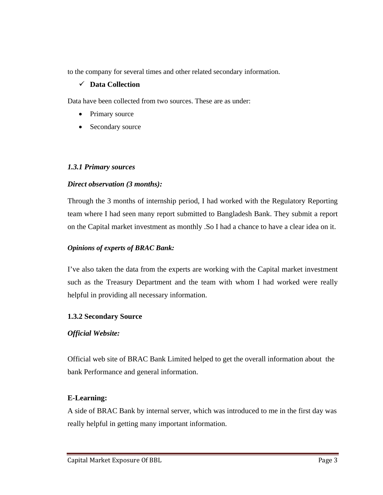to the company for several times and other related secondary information.

### 9 **Data Collection**

Data have been collected from two sources. These are as under:

- Primary source
- Secondary source

### *1.3.1 Primary sources*

### *Direct observation (3 months):*

Through the 3 months of internship period, I had worked with the Regulatory Reporting team where I had seen many report submitted to Bangladesh Bank. They submit a report on the Capital market investment as monthly .So I had a chance to have a clear idea on it.

### *Opinions of experts of BRAC Bank:*

I've also taken the data from the experts are working with the Capital market investment such as the Treasury Department and the team with whom I had worked were really helpful in providing all necessary information.

### **1.3.2 Secondary Source**

### *Official Website:*

Official web site of BRAC Bank Limited helped to get the overall information about the bank Performance and general information.

### **E-Learning:**

A side of BRAC Bank by internal server, which was introduced to me in the first day was really helpful in getting many important information.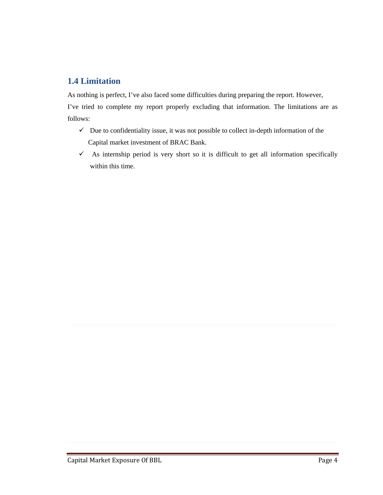### **1.4 Limitation**

As nothing is perfect, I've also faced some difficulties during preparing the report. However, I've tried to complete my report properly excluding that information. The limitations are as follows:

- $\checkmark$  Due to confidentiality issue, it was not possible to collect in-depth information of the Capital market investment of BRAC Bank.
- $\checkmark$  As internship period is very short so it is difficult to get all information specifically within this time.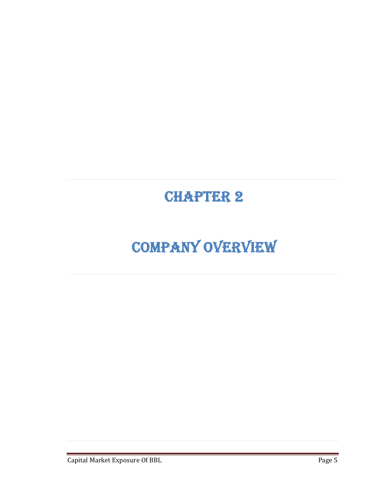## CHAPTER 2

## COMPANY OVERVIEW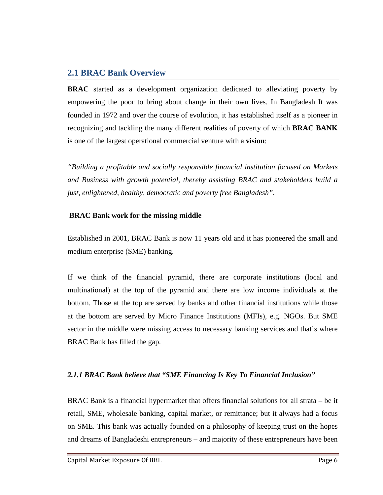### **2.1 BRAC Bank Overview**

**BRAC** started as a development organization dedicated to alleviating poverty by empowering the poor to bring about change in their own lives. In Bangladesh It was founded in 1972 and over the course of evolution, it has established itself as a pioneer in recognizing and tackling the many different realities of poverty of which **BRAC BANK** is one of the largest operational commercial venture with a **vision**:

*"Building a profitable and socially responsible financial institution focused on Markets and Business with growth potential, thereby assisting BRAC and stakeholders build a just, enlightened, healthy, democratic and poverty free Bangladesh".*

### **BRAC Bank work for the missing middle**

Established in 2001, BRAC Bank is now 11 years old and it has pioneered the small and medium enterprise (SME) banking.

If we think of the financial pyramid, there are corporate institutions (local and multinational) at the top of the pyramid and there are low income individuals at the bottom. Those at the top are served by banks and other financial institutions while those at the bottom are served by Micro Finance Institutions (MFIs), e.g. NGOs. But SME sector in the middle were missing access to necessary banking services and that's where BRAC Bank has filled the gap.

### *2.1.1 BRAC Bank believe that "SME Financing Is Key To Financial Inclusion"*

BRAC Bank is a financial hypermarket that offers financial solutions for all strata – be it retail, SME, wholesale banking, capital market, or remittance; but it always had a focus on SME. This bank was actually founded on a philosophy of keeping trust on the hopes and dreams of Bangladeshi entrepreneurs – and majority of these entrepreneurs have been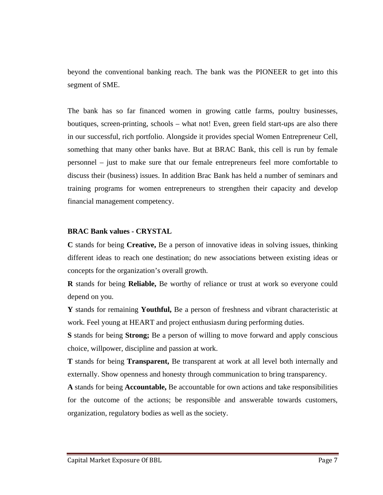beyond the conventional banking reach. The bank was the PIONEER to get into this segment of SME.

The bank has so far financed women in growing cattle farms, poultry businesses, boutiques, screen-printing, schools – what not! Even, green field start-ups are also there in our successful, rich portfolio. Alongside it provides special Women Entrepreneur Cell, something that many other banks have. But at BRAC Bank, this cell is run by female personnel – just to make sure that our female entrepreneurs feel more comfortable to discuss their (business) issues. In addition Brac Bank has held a number of seminars and training programs for women entrepreneurs to strengthen their capacity and develop financial management competency.

### **BRAC Bank values - CRYSTAL**

**C** stands for being **Creative,** Be a person of innovative ideas in solving issues, thinking different ideas to reach one destination; do new associations between existing ideas or concepts for the organization's overall growth.

**R** stands for being **Reliable,** Be worthy of reliance or trust at work so everyone could depend on you.

**Y** stands for remaining **Youthful,** Be a person of freshness and vibrant characteristic at work. Feel young at HEART and project enthusiasm during performing duties.

**S** stands for being **Strong;** Be a person of willing to move forward and apply conscious choice, willpower, discipline and passion at work.

**T** stands for being **Transparent,** Be transparent at work at all level both internally and externally. Show openness and honesty through communication to bring transparency.

**A** stands for being **Accountable,** Be accountable for own actions and take responsibilities for the outcome of the actions; be responsible and answerable towards customers, organization, regulatory bodies as well as the society.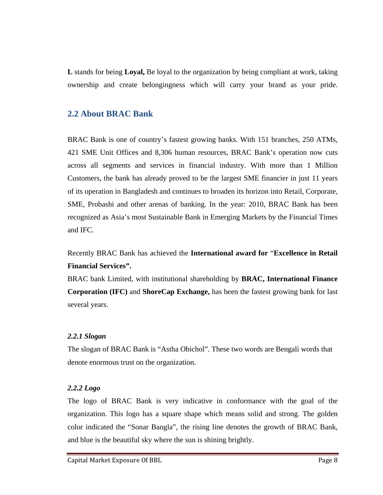**L** stands for being **Loyal,** Be loyal to the organization by being compliant at work, taking ownership and create belongingness which will carry your brand as your pride.

### **2.2 About BRAC Bank**

BRAC Bank is one of country's fastest growing banks. With 151 branches, 250 ATMs, 421 SME Unit Offices and 8,306 human resources, BRAC Bank's operation now cuts across all segments and services in financial industry. With more than 1 Million Customers, the bank has already proved to be the largest SME financier in just 11 years of its operation in Bangladesh and continues to broaden its horizon into Retail, Corporate, SME, Probashi and other arenas of banking. In the year: 2010, BRAC Bank has been recognized as Asia's most Sustainable Bank in Emerging Markets by the Financial Times and IFC.

Recently BRAC Bank has achieved the **International award for** "**Excellence in Retail Financial Services".**

BRAC bank Limited, with institutional shareholding by **BRAC, International Finance Corporation (IFC)** and **ShoreCap Exchange,** has been the fastest growing bank for last several years.

### *2.2.1 Slogan*

The slogan of BRAC Bank is "Astha Obichol". These two words are Bengali words that denote enormous trust on the organization.

### *2.2.2 Logo*

The logo of BRAC Bank is very indicative in conformance with the goal of the organization. This logo has a square shape which means solid and strong. The golden color indicated the "Sonar Bangla", the rising line denotes the growth of BRAC Bank, and blue is the beautiful sky where the sun is shining brightly.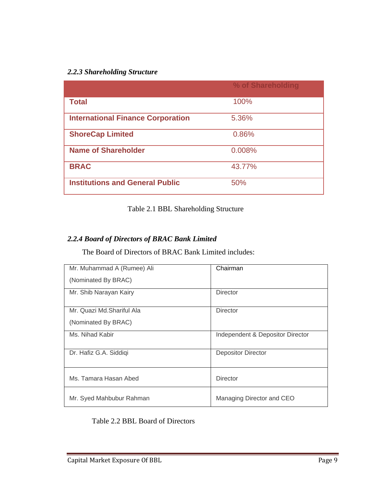### *2.2.3 Shareholding Structure*

|                                          | % of Shareholding |
|------------------------------------------|-------------------|
| <b>Total</b>                             | 100%              |
| <b>International Finance Corporation</b> | 5.36%             |
| <b>ShoreCap Limited</b>                  | 0.86%             |
| <b>Name of Shareholder</b>               | 0.008%            |
| <b>BRAC</b>                              | 43.77%            |
| <b>Institutions and General Public</b>   | 50%               |

### Table 2.1 BBL Shareholding Structure

### *2.2.4 Board of Directors of BRAC Bank Limited*

The Board of Directors of BRAC Bank Limited includes:

| Mr. Muhammad A (Rumee) Ali | Chairman                         |
|----------------------------|----------------------------------|
| (Nominated By BRAC)        |                                  |
| Mr. Shib Narayan Kairy     | Director                         |
| Mr. Quazi Md.Shariful Ala  | <b>Director</b>                  |
| (Nominated By BRAC)        |                                  |
| Ms. Nihad Kabir            | Independent & Depositor Director |
| Dr. Hafiz G.A. Siddigi     | <b>Depositor Director</b>        |
| Ms. Tamara Hasan Abed      | <b>Director</b>                  |
| Mr. Syed Mahbubur Rahman   | Managing Director and CEO        |

### Table 2.2 BBL Board of Directors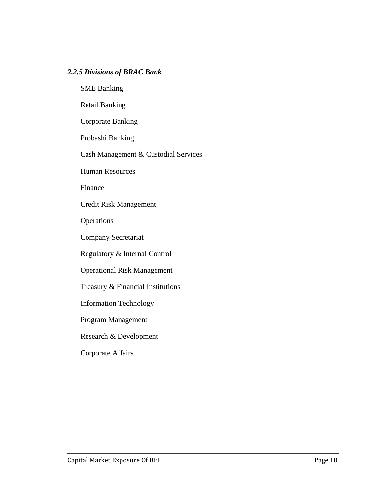### *2.2.5 Divisions of BRAC Bank*

SME Banking

Retail Banking

Corporate Banking

Probashi Banking

Cash Management & Custodial Services

Human Resources

Finance

Credit Risk Management

**Operations** 

Company Secretariat

Regulatory & Internal Control

Operational Risk Management

Treasury & Financial Institutions

Information Technology

Program Management

Research & Development

Corporate Affairs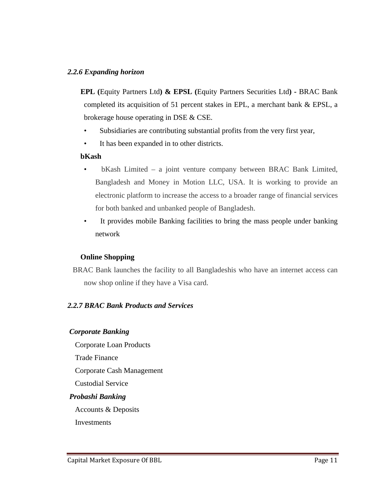### *2.2.6 Expanding horizon*

 **EPL (**Equity Partners Ltd**) & EPSL (**Equity Partners Securities Ltd**) -** BRAC Bank completed its acquisition of 51 percent stakes in EPL, a merchant bank & EPSL, a brokerage house operating in DSE & CSE.

- Subsidiaries are contributing substantial profits from the very first year,
- It has been expanded in to other districts.

### **bKash**

- bKash Limited a joint venture company between BRAC Bank Limited, Bangladesh and Money in Motion LLC, USA. It is working to provide an electronic platform to increase the access to a broader range of financial services for both banked and unbanked people of Bangladesh.
- It provides mobile Banking facilities to bring the mass people under banking network

### **Online Shopping**

BRAC Bank launches the facility to all Bangladeshis who have an internet access can now shop online if they have a Visa card.

### *2.2.7 BRAC Bank Products and Services*

#### *Corporate Banking*

 Corporate Loan Products Trade Finance Corporate Cash Management Custodial Service  *Probashi Banking*  Accounts & Deposits **Investments**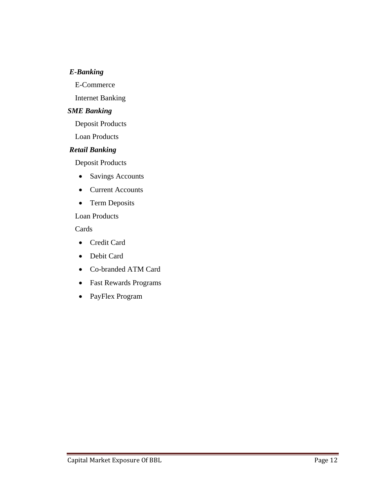### *E-Banking*

E-Commerce

Internet Banking

### *SME Banking*

Deposit Products

Loan Products

### *Retail Banking*

Deposit Products

- Savings Accounts
- Current Accounts
- Term Deposits

### Loan Products

Cards

- Credit Card
- Debit Card
- Co-branded ATM Card
- Fast Rewards Programs
- PayFlex Program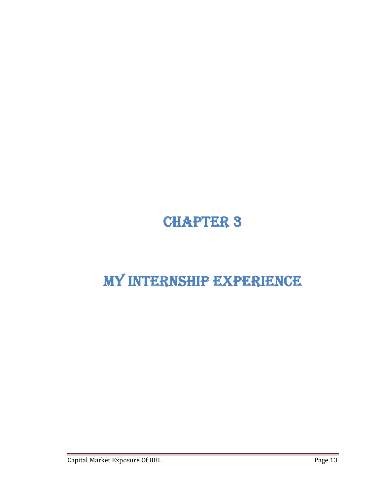## CHAPTER 3

## MY INTERNSHIP EXPERIENCE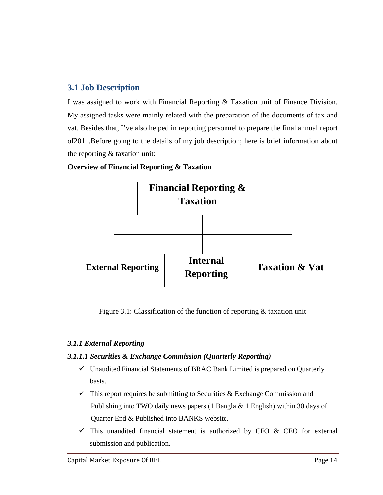### **3.1 Job Description**

I was assigned to work with Financial Reporting & Taxation unit of Finance Division. My assigned tasks were mainly related with the preparation of the documents of tax and vat. Besides that, I've also helped in reporting personnel to prepare the final annual report of2011.Before going to the details of my job description; here is brief information about the reporting & taxation unit:

### **Overview of Financial Reporting & Taxation**



Figure 3.1: Classification of the function of reporting & taxation unit

### *3.1.1 External Reporting*

### *3.1.1.1 Securities & Exchange Commission (Quarterly Reporting)*

- $\checkmark$  Unaudited Financial Statements of BRAC Bank Limited is prepared on Quarterly basis.
- $\checkmark$  This report requires be submitting to Securities & Exchange Commission and Publishing into TWO daily news papers (1 Bangla & 1 English) within 30 days of Quarter End & Published into BANKS website.
- $\checkmark$  This unaudited financial statement is authorized by CFO & CEO for external submission and publication.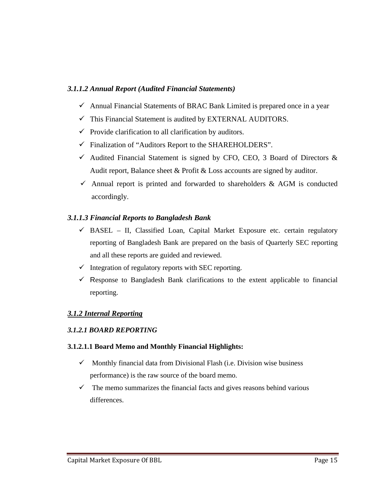### *3.1.1.2 Annual Report (Audited Financial Statements)*

- $\checkmark$  Annual Financial Statements of BRAC Bank Limited is prepared once in a year
- $\checkmark$  This Financial Statement is audited by EXTERNAL AUDITORS.
- $\checkmark$  Provide clarification to all clarification by auditors.
- $\checkmark$  Finalization of "Auditors Report to the SHAREHOLDERS".
- $\checkmark$  Audited Financial Statement is signed by CFO, CEO, 3 Board of Directors & Audit report, Balance sheet & Profit & Loss accounts are signed by auditor.
- $\checkmark$  Annual report is printed and forwarded to shareholders & AGM is conducted accordingly.

### *3.1.1.3 Financial Reports to Bangladesh Bank*

- $\checkmark$  BASEL II, Classified Loan, Capital Market Exposure etc. certain regulatory reporting of Bangladesh Bank are prepared on the basis of Quarterly SEC reporting and all these reports are guided and reviewed.
- $\checkmark$  Integration of regulatory reports with SEC reporting.
- $\checkmark$  Response to Bangladesh Bank clarifications to the extent applicable to financial reporting.

### *3.1.2 Internal Reporting*

### *3.1.2.1 BOARD REPORTING*

### **3.1.2.1.1 Board Memo and Monthly Financial Highlights:**

- $\checkmark$  Monthly financial data from Divisional Flash (i.e. Division wise business performance) is the raw source of the board memo.
- $\checkmark$  The memo summarizes the financial facts and gives reasons behind various differences.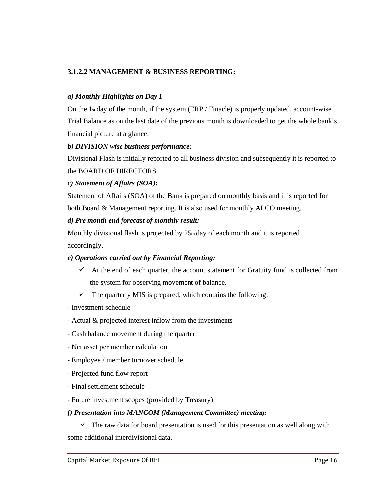### **3.1.2.2 MANAGEMENT & BUSINESS REPORTING:**

### *a) Monthly Highlights on Day 1 –*

On the 1st day of the month, if the system  $(ERP / Finance)$  is properly updated, account-wise Trial Balance as on the last date of the previous month is downloaded to get the whole bank's financial picture at a glance.

### *b) DIVISION wise business performance:*

Divisional Flash is initially reported to all business division and subsequently it is reported to the BOARD OF DIRECTORS.

### *c) Statement of Affairs (SOA):*

Statement of Affairs (SOA) of the Bank is prepared on monthly basis and it is reported for both Board & Management reporting. It is also used for monthly ALCO meeting.

### *d) Pre month end forecast of monthly result:*

Monthly divisional flash is projected by 25th day of each month and it is reported accordingly.

### *e) Operations carried out by Financial Reporting:*

- $\checkmark$  At the end of each quarter, the account statement for Gratuity fund is collected from the system for observing movement of balance.
- $\checkmark$  The quarterly MIS is prepared, which contains the following:
- ‐ Investment schedule
- ‐ Actual & projected interest inflow from the investments
- ‐ Cash balance movement during the quarter
- ‐ Net asset per member calculation
- ‐ Employee / member turnover schedule
- ‐ Projected fund flow report
- ‐ Final settlement schedule
- ‐ Future investment scopes (provided by Treasury)

#### *f) Presentation into MANCOM (Management Committee) meeting:*

 $\checkmark$  The raw data for board presentation is used for this presentation as well along with some additional interdivisional data.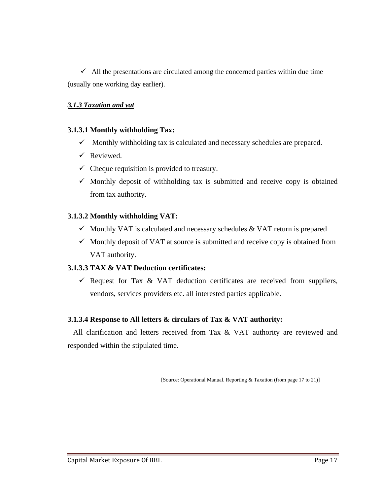$\checkmark$  All the presentations are circulated among the concerned parties within due time (usually one working day earlier).

### *3.1.3 Taxation and vat*

### **3.1.3.1 Monthly withholding Tax:**

- $\checkmark$  Monthly withholding tax is calculated and necessary schedules are prepared.
- $\checkmark$  Reviewed.
- $\checkmark$  Cheque requisition is provided to treasury.
- $\checkmark$  Monthly deposit of withholding tax is submitted and receive copy is obtained from tax authority.

### **3.1.3.2 Monthly withholding VAT:**

- $\checkmark$  Monthly VAT is calculated and necessary schedules & VAT return is prepared
- $\checkmark$  Monthly deposit of VAT at source is submitted and receive copy is obtained from VAT authority.

### **3.1.3.3 TAX & VAT Deduction certificates:**

 $\checkmark$  Request for Tax & VAT deduction certificates are received from suppliers, vendors, services providers etc. all interested parties applicable.

### **3.1.3.4 Response to All letters & circulars of Tax & VAT authority:**

 All clarification and letters received from Tax & VAT authority are reviewed and responded within the stipulated time.

[Source: Operational Manual. Reporting & Taxation (from page 17 to 21)]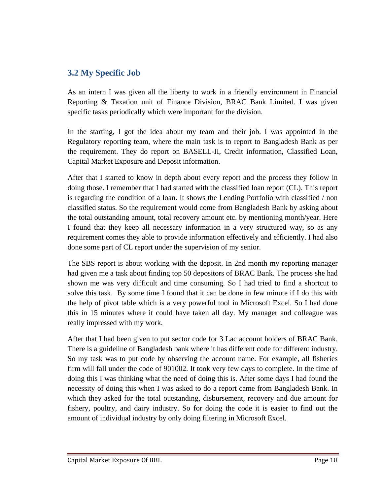### **3.2 My Specific Job**

As an intern I was given all the liberty to work in a friendly environment in Financial Reporting & Taxation unit of Finance Division, BRAC Bank Limited. I was given specific tasks periodically which were important for the division.

In the starting, I got the idea about my team and their job. I was appointed in the Regulatory reporting team, where the main task is to report to Bangladesh Bank as per the requirement. They do report on BASELL-II, Credit information, Classified Loan, Capital Market Exposure and Deposit information.

After that I started to know in depth about every report and the process they follow in doing those. I remember that I had started with the classified loan report (CL). This report is regarding the condition of a loan. It shows the Lending Portfolio with classified / non classified status. So the requirement would come from Bangladesh Bank by asking about the total outstanding amount, total recovery amount etc. by mentioning month/year. Here I found that they keep all necessary information in a very structured way, so as any requirement comes they able to provide information effectively and efficiently. I had also done some part of CL report under the supervision of my senior.

The SBS report is about working with the deposit. In 2nd month my reporting manager had given me a task about finding top 50 depositors of BRAC Bank. The process she had shown me was very difficult and time consuming. So I had tried to find a shortcut to solve this task. By some time I found that it can be done in few minute if I do this with the help of pivot table which is a very powerful tool in Microsoft Excel. So I had done this in 15 minutes where it could have taken all day. My manager and colleague was really impressed with my work.

After that I had been given to put sector code for 3 Lac account holders of BRAC Bank. There is a guideline of Bangladesh bank where it has different code for different industry. So my task was to put code by observing the account name. For example, all fisheries firm will fall under the code of 901002. It took very few days to complete. In the time of doing this I was thinking what the need of doing this is. After some days I had found the necessity of doing this when I was asked to do a report came from Bangladesh Bank. In which they asked for the total outstanding, disbursement, recovery and due amount for fishery, poultry, and dairy industry. So for doing the code it is easier to find out the amount of individual industry by only doing filtering in Microsoft Excel.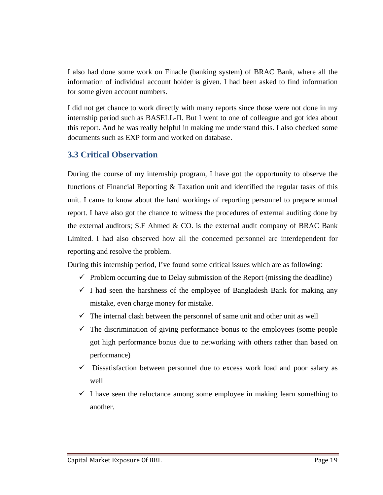I also had done some work on Finacle (banking system) of BRAC Bank, where all the information of individual account holder is given. I had been asked to find information for some given account numbers.

I did not get chance to work directly with many reports since those were not done in my internship period such as BASELL-II. But I went to one of colleague and got idea about this report. And he was really helpful in making me understand this. I also checked some documents such as EXP form and worked on database.

### **3.3 Critical Observation**

During the course of my internship program, I have got the opportunity to observe the functions of Financial Reporting & Taxation unit and identified the regular tasks of this unit. I came to know about the hard workings of reporting personnel to prepare annual report. I have also got the chance to witness the procedures of external auditing done by the external auditors; S.F Ahmed  $& CO$  is the external audit company of BRAC Bank Limited. I had also observed how all the concerned personnel are interdependent for reporting and resolve the problem.

During this internship period, I've found some critical issues which are as following:

- $\checkmark$  Problem occurring due to Delay submission of the Report (missing the deadline)
- $\checkmark$  I had seen the harshness of the employee of Bangladesh Bank for making any mistake, even charge money for mistake.
- $\checkmark$  The internal clash between the personnel of same unit and other unit as well
- $\checkmark$  The discrimination of giving performance bonus to the employees (some people got high performance bonus due to networking with others rather than based on performance)
- $\checkmark$  Dissatisfaction between personnel due to excess work load and poor salary as well
- $\checkmark$  I have seen the reluctance among some employee in making learn something to another.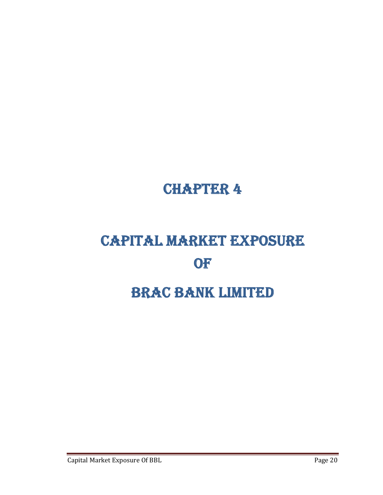## CHAPTER 4

# CAPITAL MARKET EXPOSURE **OF** BRAC BANK LIMITED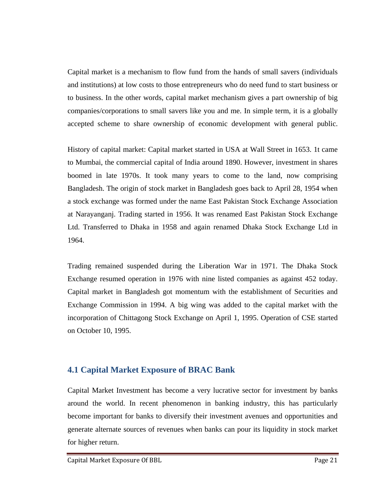Capital market is a mechanism to flow fund from the hands of small savers (individuals and institutions) at low costs to those entrepreneurs who do need fund to start business or to business. In the other words, capital market mechanism gives a part ownership of big companies/corporations to small savers like you and me. In simple term, it is a globally accepted scheme to share ownership of economic development with general public.

History of capital market: Capital market started in USA at Wall Street in 1653. 1t came to Mumbai, the commercial capital of India around 1890. However, investment in shares boomed in late 1970s. It took many years to come to the land, now comprising Bangladesh. The origin of stock market in Bangladesh goes back to April 28, 1954 when a stock exchange was formed under the name East Pakistan Stock Exchange Association at Narayanganj. Trading started in 1956. It was renamed East Pakistan Stock Exchange Ltd. Transferred to Dhaka in 1958 and again renamed Dhaka Stock Exchange Ltd in 1964.

Trading remained suspended during the Liberation War in 1971. The Dhaka Stock Exchange resumed operation in 1976 with nine listed companies as against 452 today. Capital market in Bangladesh got momentum with the establishment of Securities and Exchange Commission in 1994. A big wing was added to the capital market with the incorporation of Chittagong Stock Exchange on April 1, 1995. Operation of CSE started on October 10, 1995.

### **4.1 Capital Market Exposure of BRAC Bank**

Capital Market Investment has become a very lucrative sector for investment by banks around the world. In recent phenomenon in banking industry, this has particularly become important for banks to diversify their investment avenues and opportunities and generate alternate sources of revenues when banks can pour its liquidity in stock market for higher return.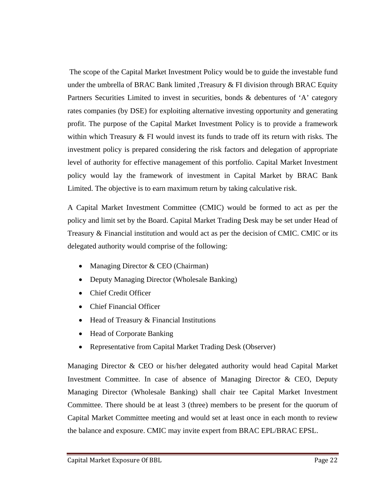The scope of the Capital Market Investment Policy would be to guide the investable fund under the umbrella of BRAC Bank limited , Treasury  $&$  FI division through BRAC Equity Partners Securities Limited to invest in securities, bonds & debentures of 'A' category rates companies (by DSE) for exploiting alternative investing opportunity and generating profit. The purpose of the Capital Market Investment Policy is to provide a framework within which Treasury  $\&$  FI would invest its funds to trade off its return with risks. The investment policy is prepared considering the risk factors and delegation of appropriate level of authority for effective management of this portfolio. Capital Market Investment policy would lay the framework of investment in Capital Market by BRAC Bank Limited. The objective is to earn maximum return by taking calculative risk.

A Capital Market Investment Committee (CMIC) would be formed to act as per the policy and limit set by the Board. Capital Market Trading Desk may be set under Head of Treasury & Financial institution and would act as per the decision of CMIC. CMIC or its delegated authority would comprise of the following:

- Managing Director & CEO (Chairman)
- Deputy Managing Director (Wholesale Banking)
- Chief Credit Officer
- Chief Financial Officer
- Head of Treasury & Financial Institutions
- Head of Corporate Banking
- Representative from Capital Market Trading Desk (Observer)

Managing Director & CEO or his/her delegated authority would head Capital Market Investment Committee. In case of absence of Managing Director & CEO, Deputy Managing Director (Wholesale Banking) shall chair tee Capital Market Investment Committee. There should be at least 3 (three) members to be present for the quorum of Capital Market Committee meeting and would set at least once in each month to review the balance and exposure. CMIC may invite expert from BRAC EPL/BRAC EPSL.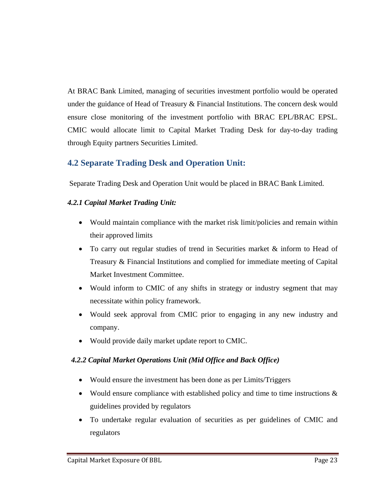At BRAC Bank Limited, managing of securities investment portfolio would be operated under the guidance of Head of Treasury & Financial Institutions. The concern desk would ensure close monitoring of the investment portfolio with BRAC EPL/BRAC EPSL. CMIC would allocate limit to Capital Market Trading Desk for day-to-day trading through Equity partners Securities Limited.

### **4.2 Separate Trading Desk and Operation Unit:**

Separate Trading Desk and Operation Unit would be placed in BRAC Bank Limited.

### *4.2.1 Capital Market Trading Unit:*

- Would maintain compliance with the market risk limit/policies and remain within their approved limits
- To carry out regular studies of trend in Securities market & inform to Head of Treasury & Financial Institutions and complied for immediate meeting of Capital Market Investment Committee.
- Would inform to CMIC of any shifts in strategy or industry segment that may necessitate within policy framework.
- Would seek approval from CMIC prior to engaging in any new industry and company.
- Would provide daily market update report to CMIC.

### *4.2.2 Capital Market Operations Unit (Mid Office and Back Office)*

- Would ensure the investment has been done as per Limits/Triggers
- Would ensure compliance with established policy and time to time instructions  $\&$ guidelines provided by regulators
- To undertake regular evaluation of securities as per guidelines of CMIC and regulators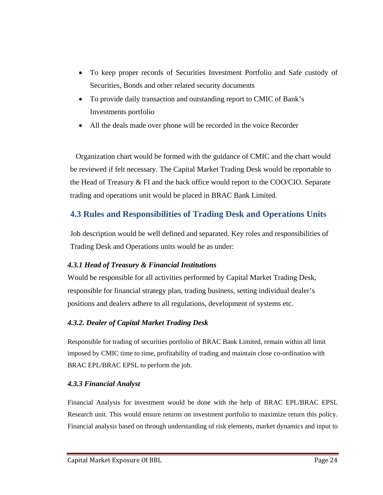- To keep proper records of Securities Investment Portfolio and Safe custody of Securities, Bonds and other related security documents
- To provide daily transaction and outstanding report to CMIC of Bank's Investments portfolio
- All the deals made over phone will be recorded in the voice Recorder

 Organization chart would be formed with the guidance of CMIC and the chart would be reviewed if felt necessary. The Capital Market Trading Desk would be reportable to the Head of Treasury & FI and the back office would report to the COO/CIO. Separate trading and operations unit would be placed in BRAC Bank Limited.

### **4.3 Rules and Responsibilities of Trading Desk and Operations Units**

Job description would be well defined and separated. Key roles and responsibilities of Trading Desk and Operations units would be as under:

### *4.3.1 Head of Treasury & Financial Institutions*

Would be responsible for all activities performed by Capital Market Trading Desk, responsible for financial strategy plan, trading business, setting individual dealer's positions and dealers adhere to all regulations, development of systems etc.

### *4.3.2. Dealer of Capital Market Trading Desk*

Responsible for trading of securities portfolio of BRAC Bank Limited, remain within all limit imposed by CMIC time to time, profitability of trading and maintain close co-ordination with BRAC EPL/BRAC EPSL to perform the job.

### *4.3.3 Financial Analyst*

Financial Analysis for investment would be done with the help of BRAC EPL/BRAC EPSL Research unit. This would ensure returns on investment portfolio to maximize return this policy. Financial analysis based on through understanding of risk elements, market dynamics and input to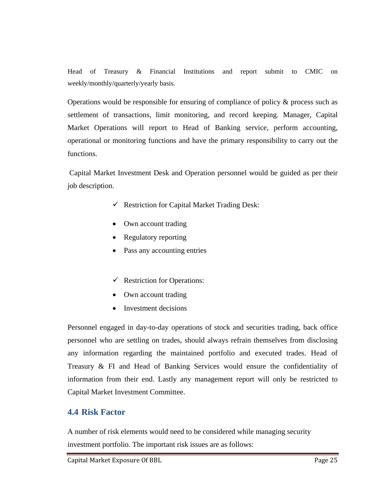Head of Treasury & Financial Institutions and report submit to CMIC on weekly/monthly/quarterly/yearly basis.

Operations would be responsible for ensuring of compliance of policy  $\&$  process such as settlement of transactions, limit monitoring, and record keeping. Manager, Capital Market Operations will report to Head of Banking service, perform accounting, operational or monitoring functions and have the primary responsibility to carry out the functions.

 Capital Market Investment Desk and Operation personnel would be guided as per their job description.

- $\checkmark$  Restriction for Capital Market Trading Desk:
- Own account trading
- Regulatory reporting
- Pass any accounting entries
- $\checkmark$  Restriction for Operations:
- Own account trading
- Investment decisions

Personnel engaged in day-to-day operations of stock and securities trading, back office personnel who are settling on trades, should always refrain themselves from disclosing any information regarding the maintained portfolio and executed trades. Head of Treasury & FI and Head of Banking Services would ensure the confidentiality of information from their end. Lastly any management report will only be restricted to Capital Market Investment Committee.

### **4.4 Risk Factor**

A number of risk elements would need to be considered while managing security investment portfolio. The important risk issues are as follows: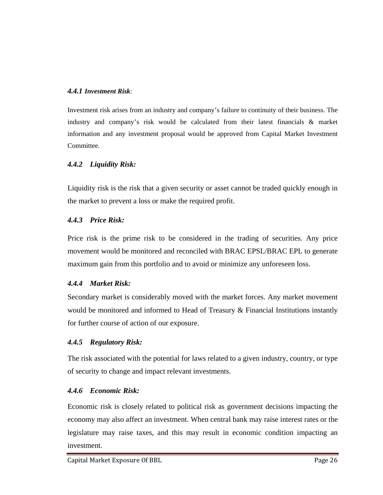### *4.4.1 Investment Risk*:

Investment risk arises from an industry and company's failure to continuity of their business. The industry and company's risk would be calculated from their latest financials & market information and any investment proposal would be approved from Capital Market Investment Committee.

### *4.4.2 Liquidity Risk:*

Liquidity risk is the risk that a given security or asset cannot be traded quickly enough in the market to prevent a loss or make the required profit.

### *4.4.3 Price Risk:*

Price risk is the prime risk to be considered in the trading of securities. Any price movement would be monitored and reconciled with BRAC EPSL/BRAC EPL to generate maximum gain from this portfolio and to avoid or minimize any unforeseen loss.

### *4.4.4 Market Risk:*

Secondary market is considerably moved with the market forces. Any market movement would be monitored and informed to Head of Treasury & Financial Institutions instantly for further course of action of our exposure.

### *4.4.5 Regulatory Risk:*

The risk associated with the potential for laws related to a given industry, country, or type of security to change and impact relevant investments.

### *4.4.6 Economic Risk:*

Economic risk is closely related to political risk as government decisions impacting the economy may also affect an investment. When central bank may raise interest rates or the legislature may raise taxes, and this may result in economic condition impacting an investment.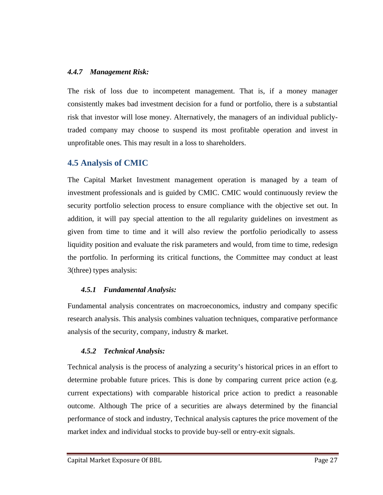### *4.4.7 Management Risk:*

The risk of loss due to incompetent management. That is, if a money manager consistently makes bad investment decision for a fund or portfolio, there is a substantial risk that investor will lose money. Alternatively, the managers of an individual publiclytraded company may choose to suspend its most profitable operation and invest in unprofitable ones. This may result in a loss to shareholders.

### **4.5 Analysis of CMIC**

The Capital Market Investment management operation is managed by a team of investment professionals and is guided by CMIC. CMIC would continuously review the security portfolio selection process to ensure compliance with the objective set out. In addition, it will pay special attention to the all regularity guidelines on investment as given from time to time and it will also review the portfolio periodically to assess liquidity position and evaluate the risk parameters and would, from time to time, redesign the portfolio. In performing its critical functions, the Committee may conduct at least 3(three) types analysis:

### *4.5.1 Fundamental Analysis:*

Fundamental analysis concentrates on macroeconomics, industry and company specific research analysis. This analysis combines valuation techniques, comparative performance analysis of the security, company, industry & market.

### *4.5.2 Technical Analysis:*

Technical analysis is the process of analyzing a security's historical prices in an effort to determine probable future prices. This is done by comparing current price action (e.g. current expectations) with comparable historical price action to predict a reasonable outcome. Although The price of a securities are always determined by the financial performance of stock and industry, Technical analysis captures the price movement of the market index and individual stocks to provide buy-sell or entry-exit signals.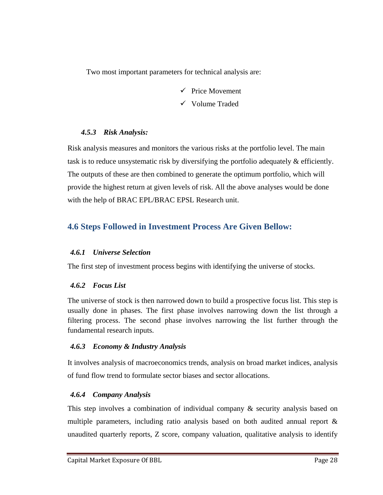Two most important parameters for technical analysis are:

- $\checkmark$  Price Movement
- $\checkmark$  Volume Traded

### *4.5.3 Risk Analysis:*

Risk analysis measures and monitors the various risks at the portfolio level. The main task is to reduce unsystematic risk by diversifying the portfolio adequately & efficiently. The outputs of these are then combined to generate the optimum portfolio, which will provide the highest return at given levels of risk. All the above analyses would be done with the help of BRAC EPL/BRAC EPSL Research unit.

### **4.6 Steps Followed in Investment Process Are Given Bellow:**

### *4.6.1 Universe Selection*

The first step of investment process begins with identifying the universe of stocks.

### *4.6.2 Focus List*

The universe of stock is then narrowed down to build a prospective focus list. This step is usually done in phases. The first phase involves narrowing down the list through a filtering process. The second phase involves narrowing the list further through the fundamental research inputs.

### *4.6.3 Economy & Industry Analysis*

It involves analysis of macroeconomics trends, analysis on broad market indices, analysis of fund flow trend to formulate sector biases and sector allocations.

### *4.6.4 Company Analysis*

This step involves a combination of individual company & security analysis based on multiple parameters, including ratio analysis based on both audited annual report & unaudited quarterly reports, Z score, company valuation, qualitative analysis to identify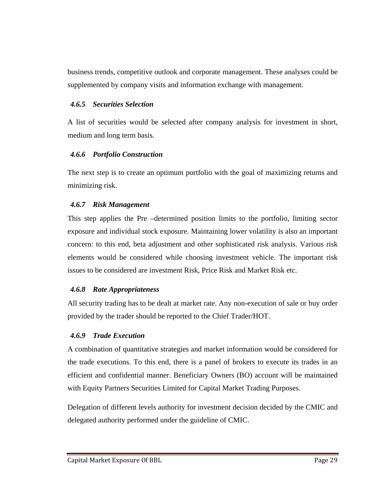business trends, competitive outlook and corporate management. These analyses could be supplemented by company visits and information exchange with management.

### *4.6.5 Securities Selection*

A list of securities would be selected after company analysis for investment in short, medium and long term basis.

### *4.6.6 Portfolio Construction*

The next step is to create an optimum portfolio with the goal of maximizing returns and minimizing risk.

### *4.6.7 Risk Management*

This step applies the Pre –determined position limits to the portfolio, limiting sector exposure and individual stock exposure. Maintaining lower volatility is also an important concern: to this end, beta adjustment and other sophisticated risk analysis. Various risk elements would be considered while choosing investment vehicle. The important risk issues to be considered are investment Risk, Price Risk and Market Risk etc.

### *4.6.8 Rate Appropriateness*

All security trading has to be dealt at market rate. Any non-execution of sale or buy order provided by the trader should be reported to the Chief Trader/HOT.

### *4.6.9 Trade Execution*

A combination of quantitative strategies and market information would be considered for the trade executions. To this end, there is a panel of brokers to execute its trades in an efficient and confidential manner. Beneficiary Owners (BO) account will be maintained with Equity Partners Securities Limited for Capital Market Trading Purposes.

Delegation of different levels authority for investment decision decided by the CMIC and delegated authority performed under the guideline of CMIC.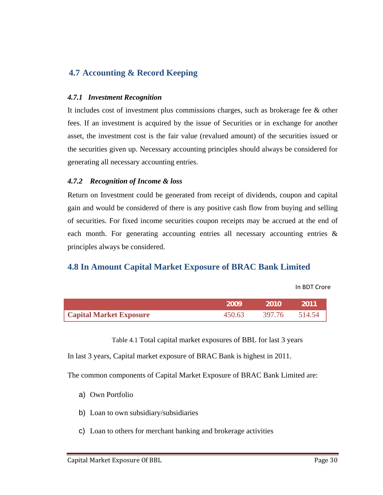### **4.7 Accounting & Record Keeping**

### *4.7.1 Investment Recognition*

It includes cost of investment plus commissions charges, such as brokerage fee & other fees. If an investment is acquired by the issue of Securities or in exchange for another asset, the investment cost is the fair value (revalued amount) of the securities issued or the securities given up. Necessary accounting principles should always be considered for generating all necessary accounting entries.

### *4.7.2 Recognition of Income & loss*

Return on Investment could be generated from receipt of dividends, coupon and capital gain and would be considered of there is any positive cash flow from buying and selling of securities. For fixed income securities coupon receipts may be accrued at the end of each month. For generating accounting entries all necessary accounting entries & principles always be considered.

### **4.8 In Amount Capital Market Exposure of BRAC Bank Limited**

In BDT Crore

|                                | 2009   | -2010         | -2011 |
|--------------------------------|--------|---------------|-------|
| <b>Capital Market Exposure</b> | 450.63 | 397.76 514.54 |       |

Table 4.1 Total capital market exposures of BBL for last 3 years

In last 3 years, Capital market exposure of BRAC Bank is highest in 2011.

The common components of Capital Market Exposure of BRAC Bank Limited are:

- a) Own Portfolio
- b) Loan to own subsidiary/subsidiaries
- c) Loan to others for merchant banking and brokerage activities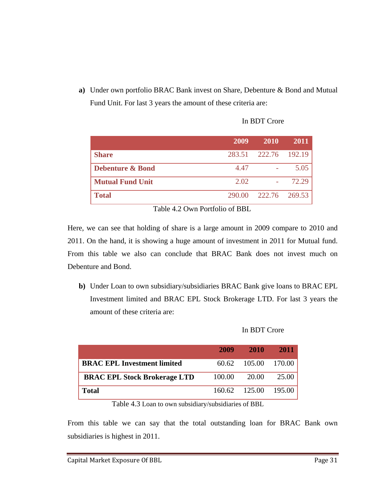**a)** Under own portfolio BRAC Bank invest on Share, Debenture & Bond and Mutual Fund Unit. For last 3 years the amount of these criteria are:

|                             | 2009 | 2010                 | 2011  |
|-----------------------------|------|----------------------|-------|
| <b>Share</b>                |      | 283.51 222.76 192.19 |       |
| <b>Debenture &amp; Bond</b> | 4.47 |                      | 5.05  |
| <b>Mutual Fund Unit</b>     | 2.02 |                      | 72.29 |
| <b>Total</b>                |      | 290.00 222.76 269.53 |       |

In BDT Crore

Table 4.2 Own Portfolio of BBL

Here, we can see that holding of share is a large amount in 2009 compare to 2010 and 2011. On the hand, it is showing a huge amount of investment in 2011 for Mutual fund. From this table we also can conclude that BRAC Bank does not invest much on Debenture and Bond.

**b)** Under Loan to own subsidiary/subsidiaries BRAC Bank give loans to BRAC EPL Investment limited and BRAC EPL Stock Brokerage LTD. For last 3 years the amount of these criteria are:

### In BDT Crore

|                                     | 2009   | <b>2010</b>          | 2011  |
|-------------------------------------|--------|----------------------|-------|
| <b>BRAC EPL Investment limited</b>  |        | 60.62 105.00 170.00  |       |
| <b>BRAC EPL Stock Brokerage LTD</b> | 100.00 | 20.00                | 25.00 |
| <b>Total</b>                        |        | 160.62 125.00 195.00 |       |

Table 4.3 Loan to own subsidiary/subsidiaries of BBL

From this table we can say that the total outstanding loan for BRAC Bank own subsidiaries is highest in 2011.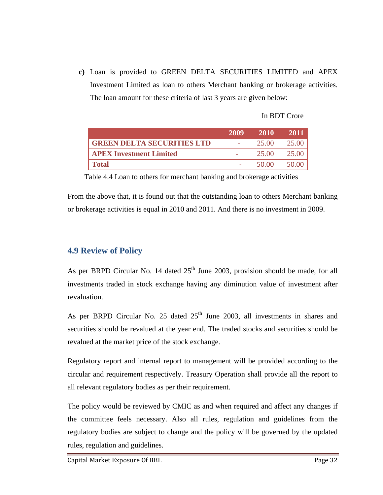**c)** Loan is provided to GREEN DELTA SECURITIES LIMITED and APEX Investment Limited as loan to others Merchant banking or brokerage activities. The loan amount for these criteria of last 3 years are given below:

### In BDT Crore

|                                   | 2009 | 2010  | 2011  |
|-----------------------------------|------|-------|-------|
| <b>GREEN DELTA SECURITIES LTD</b> |      | 25.00 | 25.00 |
| <b>APEX Investment Limited</b>    |      | 25.00 | 25.00 |
| <b>Total</b>                      |      | 50.00 | 50.00 |

Table 4.4 Loan to others for merchant banking and brokerage activities

From the above that, it is found out that the outstanding loan to others Merchant banking or brokerage activities is equal in 2010 and 2011. And there is no investment in 2009.

### **4.9 Review of Policy**

As per BRPD Circular No. 14 dated  $25<sup>th</sup>$  June 2003, provision should be made, for all investments traded in stock exchange having any diminution value of investment after revaluation.

As per BRPD Circular No. 25 dated  $25<sup>th</sup>$  June 2003, all investments in shares and securities should be revalued at the year end. The traded stocks and securities should be revalued at the market price of the stock exchange.

Regulatory report and internal report to management will be provided according to the circular and requirement respectively. Treasury Operation shall provide all the report to all relevant regulatory bodies as per their requirement.

The policy would be reviewed by CMIC as and when required and affect any changes if the committee feels necessary. Also all rules, regulation and guidelines from the regulatory bodies are subject to change and the policy will be governed by the updated rules, regulation and guidelines.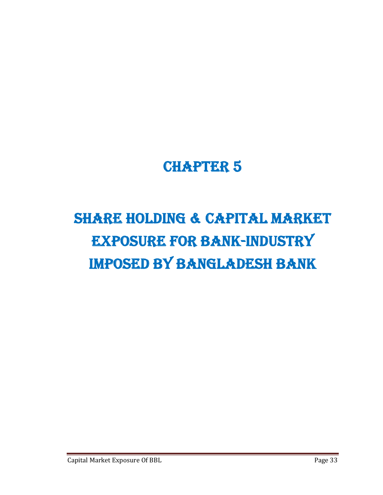## CHAPTER 5

# SHARE HOLDING & CAPITAL MARKET EXPOSURE FOR BANK-INDUSTRY IMPOSED BY BANGLADESH BANK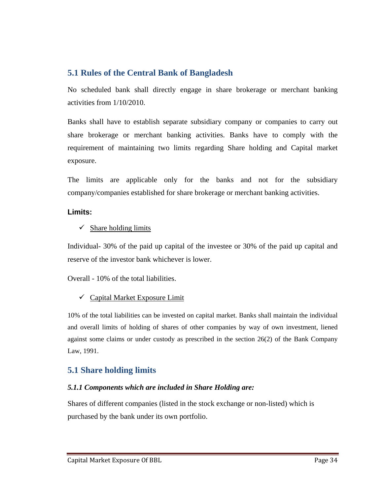### **5.1 Rules of the Central Bank of Bangladesh**

No scheduled bank shall directly engage in share brokerage or merchant banking activities from 1/10/2010.

Banks shall have to establish separate subsidiary company or companies to carry out share brokerage or merchant banking activities. Banks have to comply with the requirement of maintaining two limits regarding Share holding and Capital market exposure.

The limits are applicable only for the banks and not for the subsidiary company/companies established for share brokerage or merchant banking activities.

### **Limits:**

### $\checkmark$  Share holding limits

Individual- 30% of the paid up capital of the investee or 30% of the paid up capital and reserve of the investor bank whichever is lower.

Overall - 10% of the total liabilities.

### $\checkmark$  Capital Market Exposure Limit

10% of the total liabilities can be invested on capital market. Banks shall maintain the individual and overall limits of holding of shares of other companies by way of own investment, liened against some claims or under custody as prescribed in the section 26(2) of the Bank Company Law, 1991.

### **5.1 Share holding limits**

### *5.1.1 Components which are included in Share Holding are:*

Shares of different companies (listed in the stock exchange or non-listed) which is purchased by the bank under its own portfolio.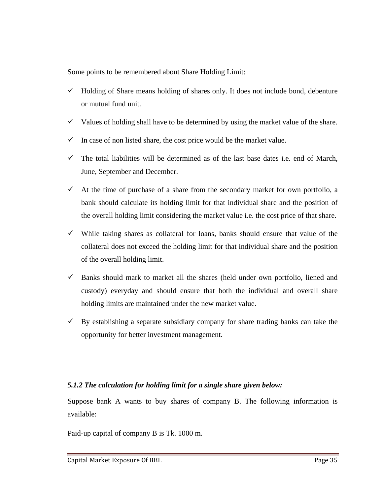Some points to be remembered about Share Holding Limit:

- $\checkmark$  Holding of Share means holding of shares only. It does not include bond, debenture or mutual fund unit.
- $\checkmark$  Values of holding shall have to be determined by using the market value of the share.
- $\checkmark$  In case of non listed share, the cost price would be the market value.
- $\checkmark$  The total liabilities will be determined as of the last base dates i.e. end of March, June, September and December.
- $\checkmark$  At the time of purchase of a share from the secondary market for own portfolio, a bank should calculate its holding limit for that individual share and the position of the overall holding limit considering the market value i.e. the cost price of that share.
- $\checkmark$  While taking shares as collateral for loans, banks should ensure that value of the collateral does not exceed the holding limit for that individual share and the position of the overall holding limit.
- $\checkmark$  Banks should mark to market all the shares (held under own portfolio, liened and custody) everyday and should ensure that both the individual and overall share holding limits are maintained under the new market value.
- $\checkmark$  By establishing a separate subsidiary company for share trading banks can take the opportunity for better investment management.

### *5.1.2 The calculation for holding limit for a single share given below:*

Suppose bank A wants to buy shares of company B. The following information is available:

Paid-up capital of company B is Tk. 1000 m.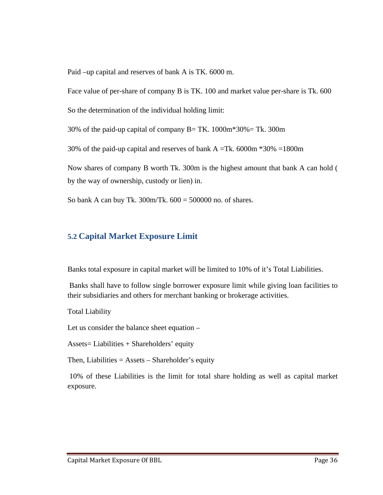Paid –up capital and reserves of bank A is TK. 6000 m.

Face value of per-share of company B is TK. 100 and market value per-share is Tk. 600

So the determination of the individual holding limit:

30% of the paid-up capital of company  $B = TK$ . 1000m\*30% = Tk. 300m

30% of the paid-up capital and reserves of bank  $A = Tk$ . 6000m  $*30\% = 1800$ m

Now shares of company B worth Tk. 300m is the highest amount that bank A can hold ( by the way of ownership, custody or lien) in.

So bank A can buy Tk.  $300m/Tk$ .  $600 = 500000$  no. of shares.

### **5.2 Capital Market Exposure Limit**

Banks total exposure in capital market will be limited to 10% of it's Total Liabilities.

 Banks shall have to follow single borrower exposure limit while giving loan facilities to their subsidiaries and others for merchant banking or brokerage activities.

Total Liability

Let us consider the balance sheet equation –

Assets= Liabilities + Shareholders' equity

Then, Liabilities  $=$  Assets  $-$  Shareholder's equity

 10% of these Liabilities is the limit for total share holding as well as capital market exposure.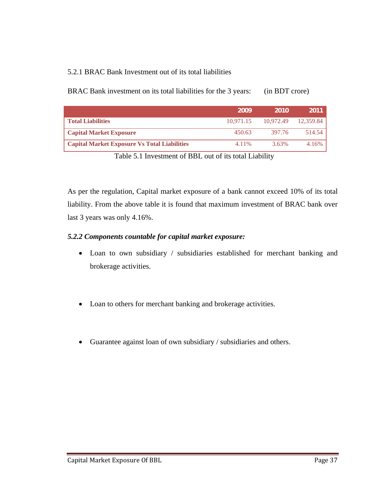### 5.2.1 BRAC Bank Investment out of its total liabilities

| BRAC Bank investment on its total liabilities for the 3 years: | (in BDT crore) |
|----------------------------------------------------------------|----------------|
|----------------------------------------------------------------|----------------|

|                                                     | 2009      | -2010     | 2011      |
|-----------------------------------------------------|-----------|-----------|-----------|
| <b>Total Liabilities</b>                            | 10.971.15 | 10.972.49 | 12.359.84 |
| <b>Capital Market Exposure</b>                      | 450.63    | 397.76    | 514.54    |
| <b>Capital Market Exposure Vs Total Liabilities</b> | 4.11%     | 3.63%     | 4.16%     |

Table 5.1 Investment of BBL out of its total Liability

As per the regulation, Capital market exposure of a bank cannot exceed 10% of its total liability. From the above table it is found that maximum investment of BRAC bank over last 3 years was only 4.16%.

### *5.2.2 Components countable for capital market exposure:*

- Loan to own subsidiary / subsidiaries established for merchant banking and brokerage activities.
- Loan to others for merchant banking and brokerage activities.
- Guarantee against loan of own subsidiary / subsidiaries and others.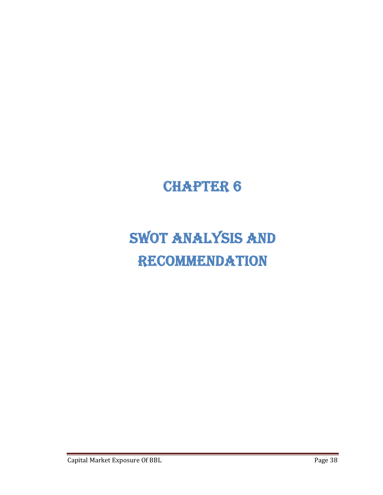## CHAPTER 6

# SWOT ANALYSIS AND **RECOMMENDATION**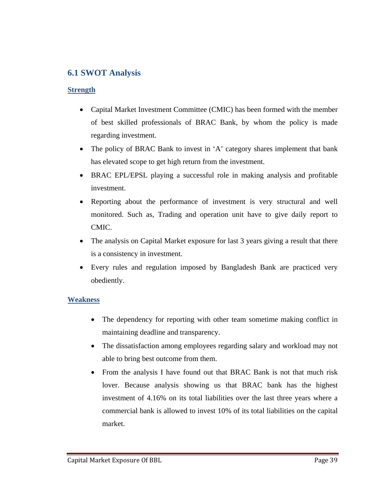### **6.1 SWOT Analysis**

### **Strength**

- Capital Market Investment Committee (CMIC) has been formed with the member of best skilled professionals of BRAC Bank, by whom the policy is made regarding investment.
- The policy of BRAC Bank to invest in 'A' category shares implement that bank has elevated scope to get high return from the investment.
- BRAC EPL/EPSL playing a successful role in making analysis and profitable investment.
- Reporting about the performance of investment is very structural and well monitored. Such as, Trading and operation unit have to give daily report to CMIC.
- The analysis on Capital Market exposure for last 3 years giving a result that there is a consistency in investment.
- Every rules and regulation imposed by Bangladesh Bank are practiced very obediently.

### **Weakness**

- The dependency for reporting with other team sometime making conflict in maintaining deadline and transparency.
- The dissatisfaction among employees regarding salary and workload may not able to bring best outcome from them.
- From the analysis I have found out that BRAC Bank is not that much risk lover. Because analysis showing us that BRAC bank has the highest investment of 4.16% on its total liabilities over the last three years where a commercial bank is allowed to invest 10% of its total liabilities on the capital market.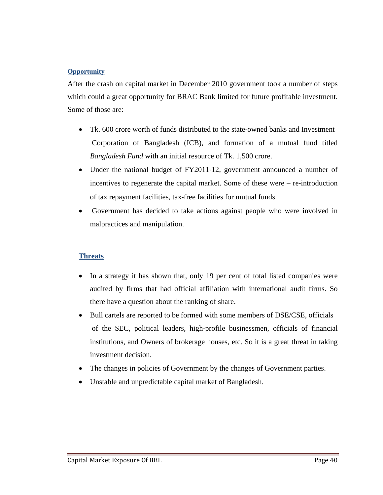### **Opportunity**

After the crash on capital market in December 2010 government took a number of steps which could a great opportunity for BRAC Bank limited for future profitable investment. Some of those are:

- Tk. 600 crore worth of funds distributed to the state-owned banks and Investment Corporation of Bangladesh (ICB), and formation of a mutual fund titled *Bangladesh Fund* with an initial resource of Tk. 1,500 crore.
- Under the national budget of FY2011-12, government announced a number of incentives to regenerate the capital market. Some of these were  $-$  re-introduction of tax repayment facilities, tax‐free facilities for mutual funds
- Government has decided to take actions against people who were involved in malpractices and manipulation.

### **Threats**

- In a strategy it has shown that, only 19 per cent of total listed companies were audited by firms that had official affiliation with international audit firms. So there have a question about the ranking of share.
- Bull cartels are reported to be formed with some members of DSE/CSE, officials of the SEC, political leaders, high‐profile businessmen, officials of financial institutions, and Owners of brokerage houses, etc. So it is a great threat in taking investment decision.
- The changes in policies of Government by the changes of Government parties.
- Unstable and unpredictable capital market of Bangladesh.